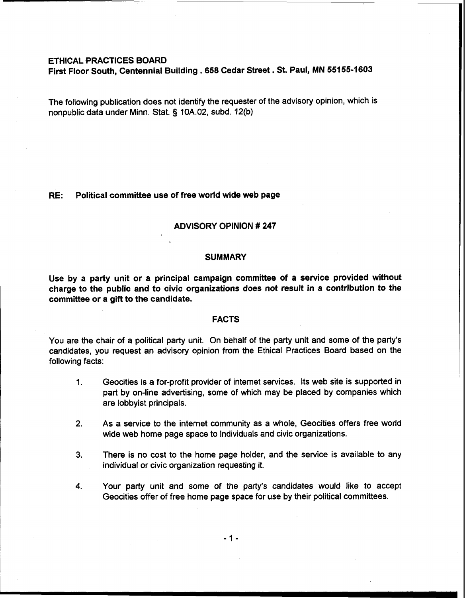# ETHICAL PRACTICES BOARD

First Floor South, Centennial Building . 658 Cedar Street. St. Paul, MN 55155-1603

The following publication does not identify the requester of the advisory opinion, which is nonpublic data under Minn. Stat. § 10A.02, subd. 12(b)

### RE: Political committee use of free world wide web page

## ADVISORY OPINION # 247

#### **SUMMARY**

Use by a party unit or a principal campaign committee of a service provided without charge to the public and to civic organizations does not result in a contribution to the committee or a gift to the candidate.

# FACTS

You are the chair of a political party unit. On behalf of the party unit and some of the party's candidates, you request an advisory opinion from the Ethical Practices Board based on the following facts:

- 1. Geocities is a for-profit provider of internet services. Its web site is supported in part by on-line advertising, some of which may be placed by companies which are lobbyist principals.
- **2.** As a service to the internet community as a whole, Geocities offers free world wide web home page space to individuals and civic organizations.
- **3.** There is no cost to the home page holder, and the service is available to any individual or civic organization requesting it.
- **4.** Your party unit and some of the party's candidates would like to accept Geocities offer of free home page space for use by their political committees.